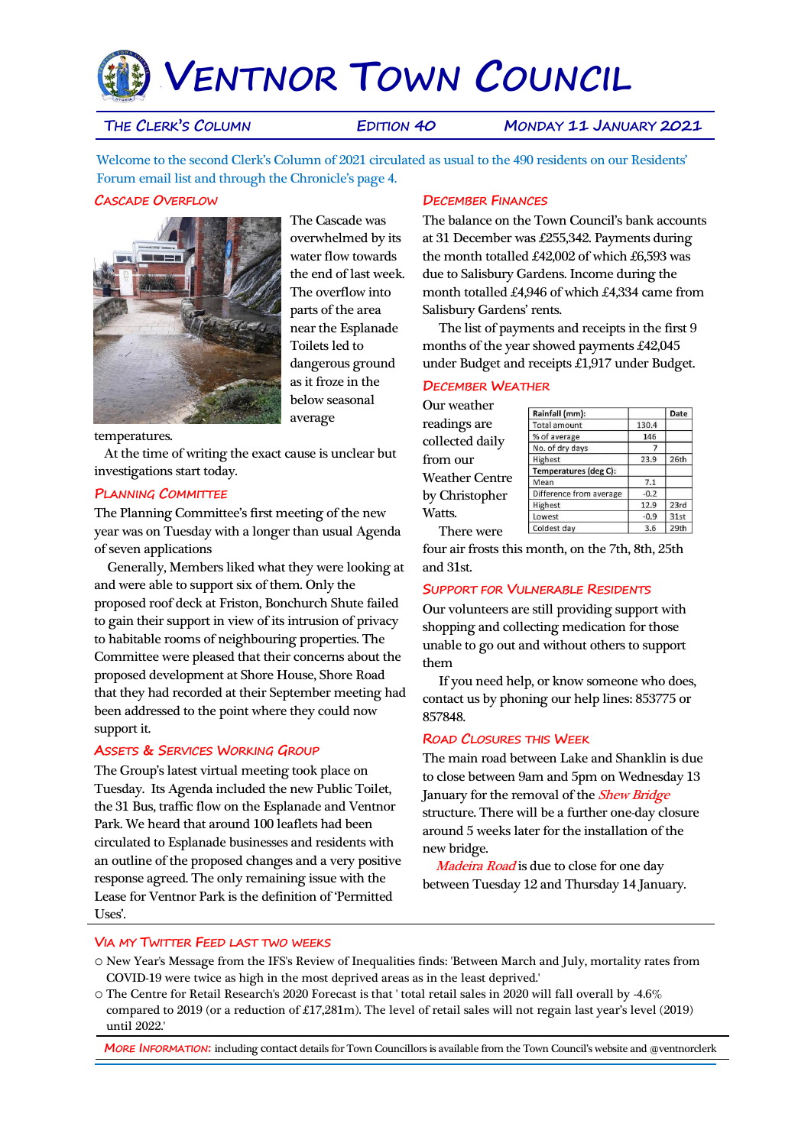# `**VENTNOR TOWN COUNCIL**

**THE CLERK'S COLUMN EDITION 40 MONDAY 11 JANUARY 2021**

Welcome to the second Clerk's Column of 2021 circulated as usual to the 490 residents on our Residents' Forum email list and through the Chronicle's page 4.

## **CASCADE OVERFLOW**



The Cascade was overwhelmed by its water flow towards the end of last week. The overflow into parts of the area near the Esplanade Toilets led to dangerous ground as it froze in the below seasonal average

temperatures.

 At the time of writing the exact cause is unclear but investigations start today.

#### **PLANNING COMMITTEE**

The Planning Committee's first meeting of the new year was on Tuesday with a longer than usual Agenda of seven applications

 Generally, Members liked what they were looking at and were able to support six of them. Only the proposed roof deck at Friston, Bonchurch Shute failed to gain their support in view of its intrusion of privacy to habitable rooms of neighbouring properties. The Committee were pleased that their concerns about the proposed development at Shore House, Shore Road that they had recorded at their September meeting had been addressed to the point where they could now support it.

#### **ASSETS & SERVICES WORKING GROUP**

The Group's latest virtual meeting took place on Tuesday. Its Agenda included the new Public Toilet, the 31 Bus, traffic flow on the Esplanade and Ventnor Park. We heard that around 100 leaflets had been circulated to Esplanade businesses and residents with an outline of the proposed changes and a very positive response agreed. The only remaining issue with the Lease for Ventnor Park is the definition of 'Permitted Uses'.

## **DECEMBER FINANCES**

The balance on the Town Council's bank accounts at 31 December was £255,342. Payments during the month totalled £42,002 of which £6,593 was due to Salisbury Gardens. Income during the month totalled £4,946 of which £4,334 came from Salisbury Gardens' rents.

 The list of payments and receipts in the first 9 months of the year showed payments £42,045 under Budget and receipts £1,917 under Budget.

# **DECEMBER WEATHER**

Our weather readings are collected daily from our Weather Centre by Christopher Watts. There were

| Rainfall (mm):          |        | Date |
|-------------------------|--------|------|
| <b>Total amount</b>     | 130.4  |      |
| % of average            | 146    |      |
| No. of dry days         |        |      |
| Highest                 | 23.9   | 26th |
| Temperatures (deg C):   |        |      |
| Mean                    | 7.1    |      |
| Difference from average | $-0.2$ |      |
| Highest                 | 12.9   | 23rd |
| Lowest                  | $-0.9$ | 31st |
| Coldest day             | 3.6    | 29th |

four air frosts this month, on the 7th, 8th, 25th and 31st.

#### **SUPPORT FOR VULNERABLE RESIDENTS**

Our volunteers are still providing support with shopping and collecting medication for those unable to go out and without others to support them

 If you need help, or know someone who does, contact us by phoning our help lines: 853775 or 857848.

#### **ROAD CLOSURES THIS WEEK**

The main road between Lake and Shanklin is due to close between 9am and 5pm on Wednesday 13 January for the removal of the **Shew Bridge** structure. There will be a further one-day closure around 5 weeks later for the installation of the new bridge.

Madeira Road is due to close for one day between Tuesday 12 and Thursday 14 January.

#### **VIA MY TWITTER FEED LAST TWO WEEKS**

- o New Year's Message from the IFS's Review of Inequalities finds: 'Between March and July, mortality rates from COVID-19 were twice as high in the most deprived areas as in the least deprived.'
- o The Centre for Retail Research's 2020 Forecast is that ' total retail sales in 2020 will fall overall by -4.6% compared to 2019 (or a reduction of £17,281m). The level of retail sales will not regain last year's level (2019) until 2022.'

**MORE INFORMATION:** including contact details for Town Councillors is available from the Town Council's website and @ventnorclerk